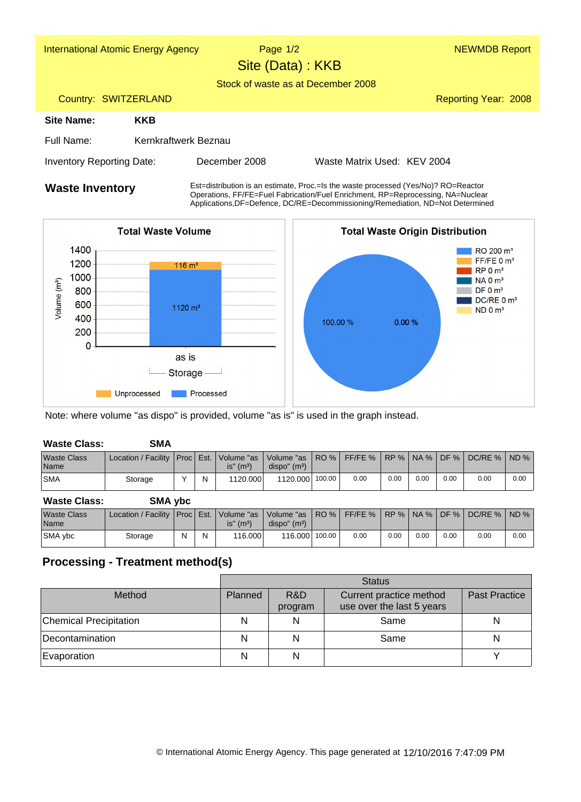| <b>International Atomic Energy Agency</b> |                      | Page $1/2$<br>Site (Data): KKB                                                          |                             | <b>NEWMDB Report</b> |  |  |  |
|-------------------------------------------|----------------------|-----------------------------------------------------------------------------------------|-----------------------------|----------------------|--|--|--|
|                                           |                      | Stock of waste as at December 2008                                                      |                             |                      |  |  |  |
| Country: SWITZERLAND                      |                      |                                                                                         |                             | Reporting Year: 2008 |  |  |  |
| Site Name:                                | <b>KKB</b>           |                                                                                         |                             |                      |  |  |  |
| Full Name:                                | Kernkraftwerk Beznau |                                                                                         |                             |                      |  |  |  |
| <b>Inventory Reporting Date:</b>          |                      | December 2008                                                                           | Waste Matrix Used: KEV 2004 |                      |  |  |  |
| <i>Monte Inventeru</i>                    |                      | $Est=distribution$ is an estimate. Proc = Is the waste processed (Yes/No)? $RO=Reactor$ |                             |                      |  |  |  |

**Waste Inventory** Est=distribution is an estimate, Proc.=Is the waste processed (Yes/No)? RO=Reactor<br>Operations, FF/FE=Fuel Fabrication/Fuel Enrichment, RP=Reprocessing, NA=Nuclear Applications,DF=Defence, DC/RE=Decommissioning/Remediation, ND=Not Determined



Note: where volume "as dispo" is provided, volume "as is" is used in the graph instead.

| <b>Waste Class:</b>        | SMA                                            |   |                          |                                                                                                  |        |      |      |      |      |      |      |
|----------------------------|------------------------------------------------|---|--------------------------|--------------------------------------------------------------------------------------------------|--------|------|------|------|------|------|------|
| <b>Waste Class</b><br>Name | Location / Facility   Proc   Est.   Volume "as |   | $is''$ (m <sup>3</sup> ) | Volume "as   RO %   FF/FE %   RP %   NA %   DF %   DC/RE %   ND %  <br>dispo'' (m <sup>3</sup> ) |        |      |      |      |      |      |      |
| <b>SMA</b>                 | Storage                                        | N | 1120.000                 | 1120.000                                                                                         | 100.00 | 0.00 | 0.00 | 0.00 | 0.00 | 0.00 | 0.00 |

| <b>Waste Class:</b>        | <b>SMA ybc</b>                                 |   |   |                  |                                                  |           |      |      |      |                              |          |
|----------------------------|------------------------------------------------|---|---|------------------|--------------------------------------------------|-----------|------|------|------|------------------------------|----------|
| <b>Waste Class</b><br>Name | Location / Facility   Proc   Est.   Volume "as |   |   | $is''$ ( $m^3$ ) | Volume "as   RO %  <br>dispo'' (m <sup>3</sup> ) | $FF/FE$ % |      |      |      | RP %   NA %   DF %   DC/RE % | $ND$ %   |
| SMA ybc                    | Storage                                        | N | Ν | 116,000          | $116.000$ 100.00                                 | 0.00      | 0.00 | 0.00 | 0.00 | 0.00                         | $0.00\,$ |

## **Processing - Treatment method(s)**

|                               | <b>Status</b> |                |                                                      |                      |  |  |  |  |
|-------------------------------|---------------|----------------|------------------------------------------------------|----------------------|--|--|--|--|
| Method                        | Planned       | R&D<br>program | Current practice method<br>use over the last 5 years | <b>Past Practice</b> |  |  |  |  |
| <b>Chemical Precipitation</b> |               | N              | Same                                                 |                      |  |  |  |  |
| Decontamination               |               |                | Same                                                 |                      |  |  |  |  |
| Evaporation                   |               | N              |                                                      |                      |  |  |  |  |